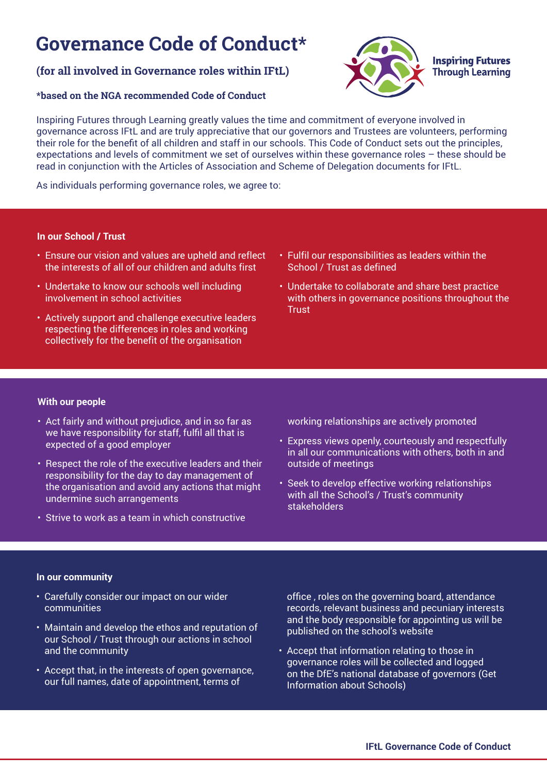# **Governance Code of Conduct\***

# **(for all involved in Governance roles within IFtL)**

# **\*based on the NGA recommended Code of Conduct**



Inspiring Futures through Learning greatly values the time and commitment of everyone involved in governance across IFtL and are truly appreciative that our governors and Trustees are volunteers, performing their role for the benefit of all children and staff in our schools. This Code of Conduct sets out the principles, expectations and levels of commitment we set of ourselves within these governance roles – these should be read in conjunction with the Articles of Association and Scheme of Delegation documents for IFtL.

As individuals performing governance roles, we agree to:

# **In our School / Trust**

- Ensure our vision and values are upheld and reflect the interests of all of our children and adults first
- Undertake to know our schools well including involvement in school activities
- Actively support and challenge executive leaders respecting the differences in roles and working collectively for the benefit of the organisation
- Fulfil our responsibilities as leaders within the School / Trust as defined
- Undertake to collaborate and share best practice with others in governance positions throughout the **Trust**

## **With our people**

- Act fairly and without prejudice, and in so far as we have responsibility for staff, fulfil all that is expected of a good employer
- Respect the role of the executive leaders and their responsibility for the day to day management of the organisation and avoid any actions that might undermine such arrangements
- Strive to work as a team in which constructive

working relationships are actively promoted

- Express views openly, courteously and respectfully in all our communications with others, both in and outside of meetings
- Seek to develop effective working relationships with all the School's / Trust's community stakeholders

## **In our community**

- Carefully consider our impact on our wider communities
- Maintain and develop the ethos and reputation of our School / Trust through our actions in school and the community
- Accept that, in the interests of open governance, our full names, date of appointment, terms of

office , roles on the governing board, attendance records, relevant business and pecuniary interests and the body responsible for appointing us will be published on the school's website

• Accept that information relating to those in governance roles will be collected and logged on the DfE's national database of governors (Get Information about Schools)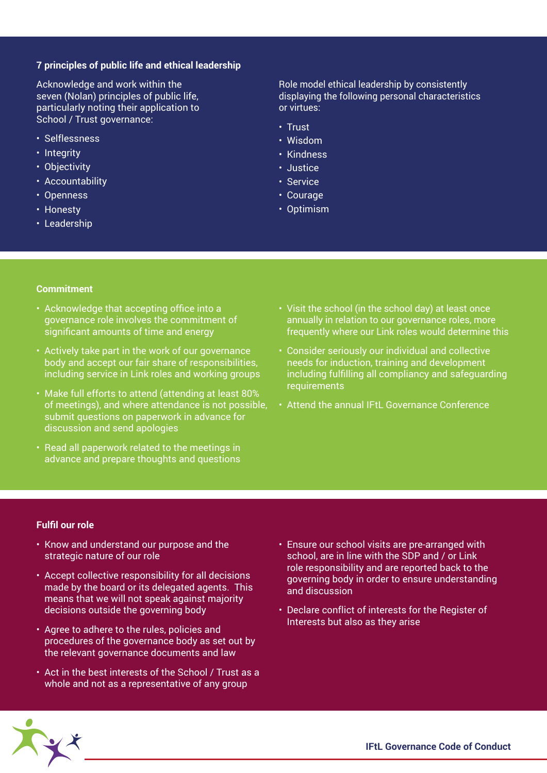#### **7 principles of public life and ethical leadership**

Acknowledge and work within the seven (Nolan) principles of public life, particularly noting their application to School / Trust governance:

- Selflessness
- Integrity
- Objectivity
- Accountability
- Openness
- Honesty
- Leadership

Role model ethical leadership by consistently displaying the following personal characteristics or virtues:

- Trust
- Wisdom
- Kindness
- Justice
- Service
- Courage
- Optimism

#### **Commitment**

- Acknowledge that accepting office into a governance role involves the commitment of significant amounts of time and energy
- Actively take part in the work of our governance body and accept our fair share of responsibilities, including service in Link roles and working groups
- Make full efforts to attend (attending at least 80% of meetings), and where attendance is not possible, submit questions on paperwork in advance for discussion and send apologies
- Read all paperwork related to the meetings in advance and prepare thoughts and questions
- Visit the school (in the school day) at least once annually in relation to our governance roles, more frequently where our Link roles would determine this
- Consider seriously our individual and collective needs for induction, training and development including fulfilling all compliancy and safeguarding requirements
- Attend the annual IFtL Governance Conference

#### **Fulfil our role**

- Know and understand our purpose and the strategic nature of our role
- Accept collective responsibility for all decisions made by the board or its delegated agents. This means that we will not speak against majority decisions outside the governing body
- Agree to adhere to the rules, policies and procedures of the governance body as set out by the relevant governance documents and law
- Act in the best interests of the School / Trust as a whole and not as a representative of any group
- Ensure our school visits are pre-arranged with school, are in line with the SDP and / or Link role responsibility and are reported back to the governing body in order to ensure understanding and discussion
- Declare conflict of interests for the Register of Interests but also as they arise